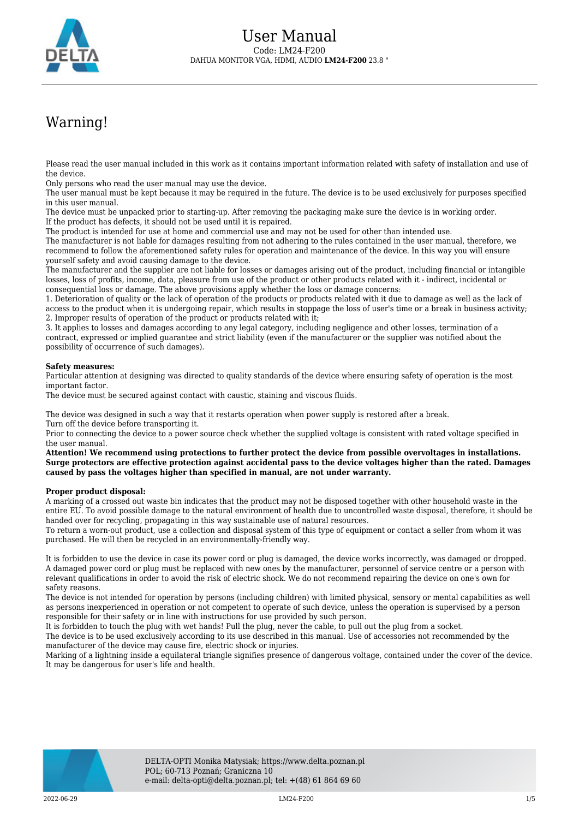

## Warning!

Please read the user manual included in this work as it contains important information related with safety of installation and use of the device.

Only persons who read the user manual may use the device.

The user manual must be kept because it may be required in the future. The device is to be used exclusively for purposes specified in this user manual.

The device must be unpacked prior to starting-up. After removing the packaging make sure the device is in working order. If the product has defects, it should not be used until it is repaired.

The product is intended for use at home and commercial use and may not be used for other than intended use.

The manufacturer is not liable for damages resulting from not adhering to the rules contained in the user manual, therefore, we recommend to follow the aforementioned safety rules for operation and maintenance of the device. In this way you will ensure yourself safety and avoid causing damage to the device.

The manufacturer and the supplier are not liable for losses or damages arising out of the product, including financial or intangible losses, loss of profits, income, data, pleasure from use of the product or other products related with it - indirect, incidental or consequential loss or damage. The above provisions apply whether the loss or damage concerns:

1. Deterioration of quality or the lack of operation of the products or products related with it due to damage as well as the lack of access to the product when it is undergoing repair, which results in stoppage the loss of user's time or a break in business activity; 2. Improper results of operation of the product or products related with it;

3. It applies to losses and damages according to any legal category, including negligence and other losses, termination of a contract, expressed or implied guarantee and strict liability (even if the manufacturer or the supplier was notified about the possibility of occurrence of such damages).

## **Safety measures:**

Particular attention at designing was directed to quality standards of the device where ensuring safety of operation is the most important factor.

The device must be secured against contact with caustic, staining and viscous fluids.

The device was designed in such a way that it restarts operation when power supply is restored after a break. Turn off the device before transporting it.

Prior to connecting the device to a power source check whether the supplied voltage is consistent with rated voltage specified in the user manual.

**Attention! We recommend using protections to further protect the device from possible overvoltages in installations. Surge protectors are effective protection against accidental pass to the device voltages higher than the rated. Damages caused by pass the voltages higher than specified in manual, are not under warranty.**

## **Proper product disposal:**

A marking of a crossed out waste bin indicates that the product may not be disposed together with other household waste in the entire EU. To avoid possible damage to the natural environment of health due to uncontrolled waste disposal, therefore, it should be handed over for recycling, propagating in this way sustainable use of natural resources.

To return a worn-out product, use a collection and disposal system of this type of equipment or contact a seller from whom it was purchased. He will then be recycled in an environmentally-friendly way.

It is forbidden to use the device in case its power cord or plug is damaged, the device works incorrectly, was damaged or dropped. A damaged power cord or plug must be replaced with new ones by the manufacturer, personnel of service centre or a person with relevant qualifications in order to avoid the risk of electric shock. We do not recommend repairing the device on one's own for safety reasons.

The device is not intended for operation by persons (including children) with limited physical, sensory or mental capabilities as well as persons inexperienced in operation or not competent to operate of such device, unless the operation is supervised by a person responsible for their safety or in line with instructions for use provided by such person.

It is forbidden to touch the plug with wet hands! Pull the plug, never the cable, to pull out the plug from a socket.

The device is to be used exclusively according to its use described in this manual. Use of accessories not recommended by the manufacturer of the device may cause fire, electric shock or injuries.

Marking of a lightning inside a equilateral triangle signifies presence of dangerous voltage, contained under the cover of the device. It may be dangerous for user's life and health.

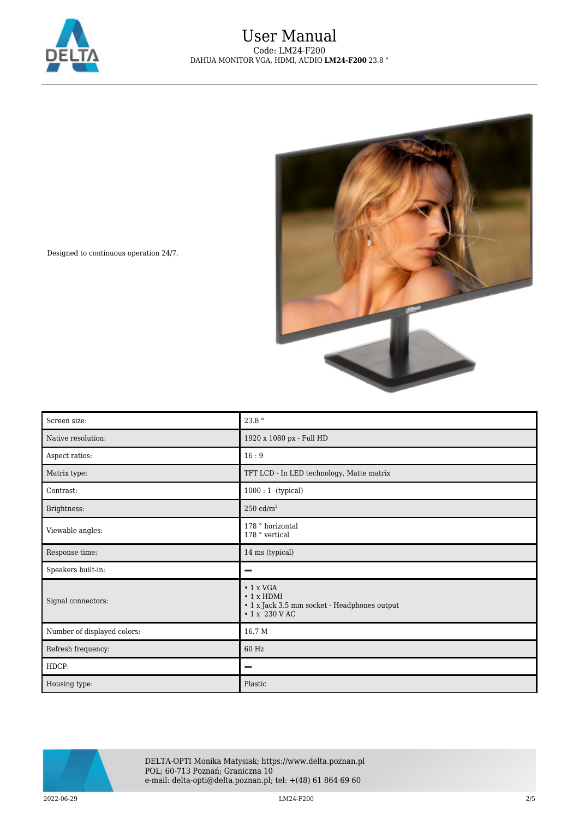



Designed to continuous operation 24/7.

| Screen size:                | 23.8 "                                                                                                              |
|-----------------------------|---------------------------------------------------------------------------------------------------------------------|
| Native resolution:          | 1920 x 1080 px - Full HD                                                                                            |
| Aspect ratios:              | 16:9                                                                                                                |
| Matrix type:                | TFT LCD - In LED technology, Matte matrix                                                                           |
| Contrast:                   | $1000:1$ (typical)                                                                                                  |
| Brightness:                 | $250 \text{ cd/m}^2$                                                                                                |
| Viewable angles:            | 178 ° horizontal<br>178 $^{\circ}$ vertical                                                                         |
| Response time:              | 14 ms (typical)                                                                                                     |
| Speakers built-in:          |                                                                                                                     |
| Signal connectors:          | $\cdot$ 1 x VGA<br>$\cdot$ 1 x HDMI<br>$\bullet$ 1 x Jack 3.5 mm socket - Headphones output<br>$\cdot$ 1 x 230 V AC |
| Number of displayed colors: | 16.7 M                                                                                                              |
| Refresh frequency:          | 60 Hz                                                                                                               |
| HDCP:                       |                                                                                                                     |
| Housing type:               | Plastic                                                                                                             |



DELTA-OPTI Monika Matysiak; https://www.delta.poznan.pl POL; 60-713 Poznań; Graniczna 10 e-mail: delta-opti@delta.poznan.pl; tel: +(48) 61 864 69 60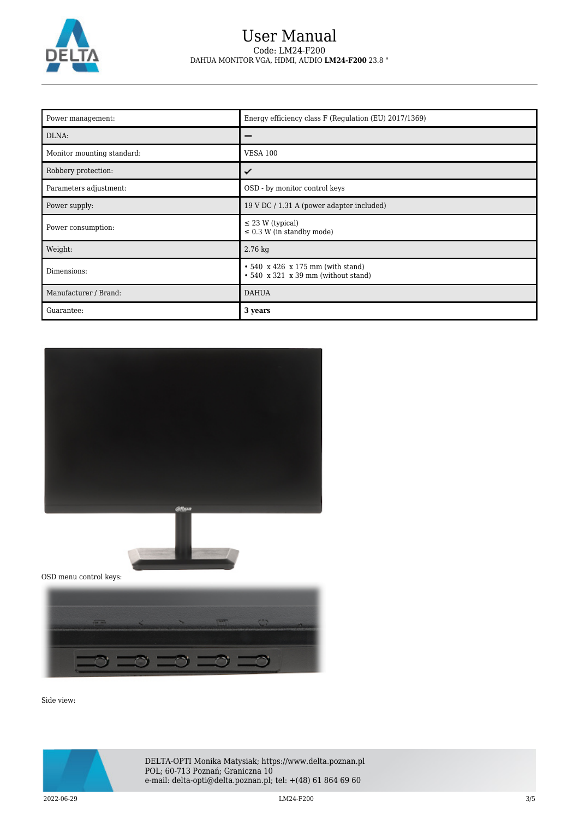

## User Manual Code: LM24-F200 DAHUA MONITOR VGA, HDMI, AUDIO **LM24-F200** 23.8 "

| Power management:          | Energy efficiency class F (Regulation (EU) 2017/1369)                                |
|----------------------------|--------------------------------------------------------------------------------------|
| DLNA:                      |                                                                                      |
| Monitor mounting standard: | <b>VESA 100</b>                                                                      |
| Robbery protection:        | ✓                                                                                    |
| Parameters adjustment:     | OSD - by monitor control keys                                                        |
| Power supply:              | 19 V DC / 1.31 A (power adapter included)                                            |
| Power consumption:         | $\leq$ 23 W (typical)<br>$\leq$ 0.3 W (in standby mode)                              |
| Weight:                    | $2.76$ kg                                                                            |
| Dimensions:                | $\cdot$ 540 x 426 x 175 mm (with stand)<br>$\cdot$ 540 x 321 x 39 mm (without stand) |
| Manufacturer / Brand:      | <b>DAHUA</b>                                                                         |
| Guarantee:                 | 3 years                                                                              |





OSD menu control keys:



Side view:



DELTA-OPTI Monika Matysiak; https://www.delta.poznan.pl POL; 60-713 Poznań; Graniczna 10 e-mail: delta-opti@delta.poznan.pl; tel: +(48) 61 864 69 60

2022-06-29 LM24-F200 3/5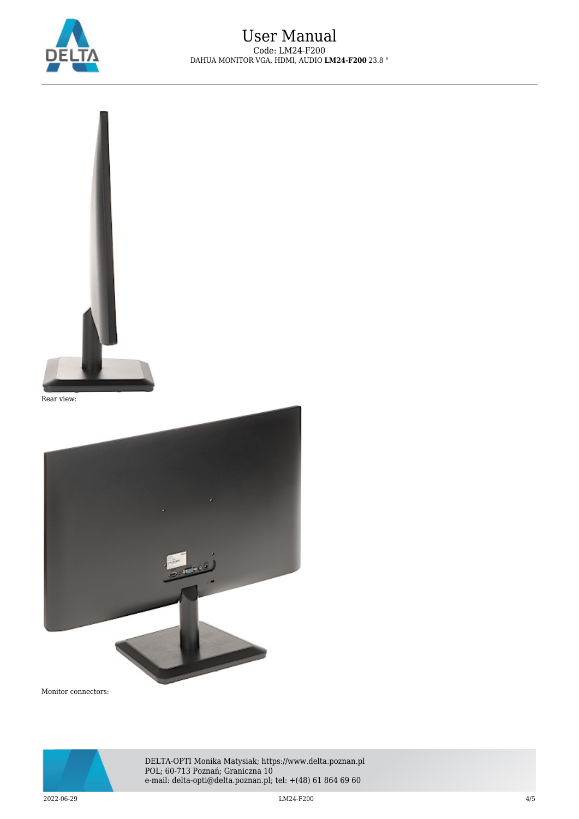



Rear view:



Monitor connectors:



DELTA-OPTI Monika Matysiak; https://www.delta.poznan.pl POL; 60-713 Poznań; Graniczna 10 e-mail: delta-opti@delta.poznan.pl; tel: +(48) 61 864 69 60

2022-06-29 LM24-F200 4/5